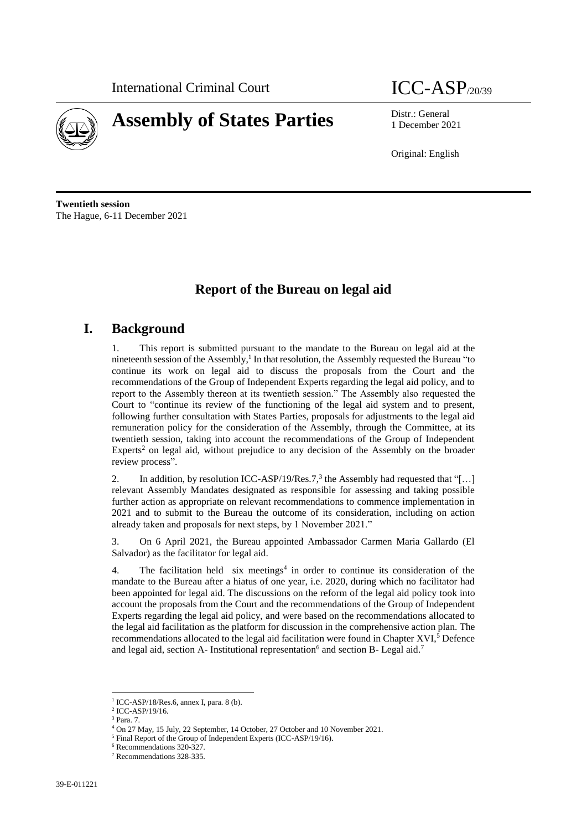

# **Assembly of States Parties** Distr.: General

1 December 2021

Original: English

**Twentieth session** The Hague, 6-11 December 2021

# **Report of the Bureau on legal aid**

# **I. Background**

1. This report is submitted pursuant to the mandate to the Bureau on legal aid at the nineteenth session of the Assembly,<sup>1</sup> In that resolution, the Assembly requested the Bureau "to continue its work on legal aid to discuss the proposals from the Court and the recommendations of the Group of Independent Experts regarding the legal aid policy, and to report to the Assembly thereon at its twentieth session." The Assembly also requested the Court to "continue its review of the functioning of the legal aid system and to present, following further consultation with States Parties, proposals for adjustments to the legal aid remuneration policy for the consideration of the Assembly, through the Committee, at its twentieth session, taking into account the recommendations of the Group of Independent Experts<sup>2</sup> on legal aid, without prejudice to any decision of the Assembly on the broader review process".

2. In addition, by resolution ICC-ASP/19/Res.7,<sup>3</sup> the Assembly had requested that "[...] relevant Assembly Mandates designated as responsible for assessing and taking possible further action as appropriate on relevant recommendations to commence implementation in 2021 and to submit to the Bureau the outcome of its consideration, including on action already taken and proposals for next steps, by 1 November 2021."

3. On 6 April 2021, the Bureau appointed Ambassador Carmen Maria Gallardo (El Salvador) as the facilitator for legal aid.

4. The facilitation held six meetings<sup>4</sup> in order to continue its consideration of the mandate to the Bureau after a hiatus of one year, i.e. 2020, during which no facilitator had been appointed for legal aid. The discussions on the reform of the legal aid policy took into account the proposals from the Court and the recommendations of the Group of Independent Experts regarding the legal aid policy, and were based on the recommendations allocated to the legal aid facilitation as the platform for discussion in the comprehensive action plan. The recommendations allocated to the legal aid facilitation were found in Chapter XVI,<sup>5</sup> Defence and legal aid, section A- Institutional representation<sup>6</sup> and section B- Legal aid.<sup>7</sup>

 $\overline{\phantom{a}}$ 1 ICC-ASP/18/Res.6, annex I, para. 8 (b).

<sup>2</sup> ICC-ASP/19/16.

<sup>3</sup> Para. 7.

<sup>4</sup> On 27 May, 15 July, 22 September, 14 October, 27 October and 10 November 2021.

<sup>5</sup> Final Report of the Group of Independent Experts (ICC-ASP/19/16).

<sup>6</sup> Recommendations 320-327.

<sup>7</sup> Recommendations 328-335.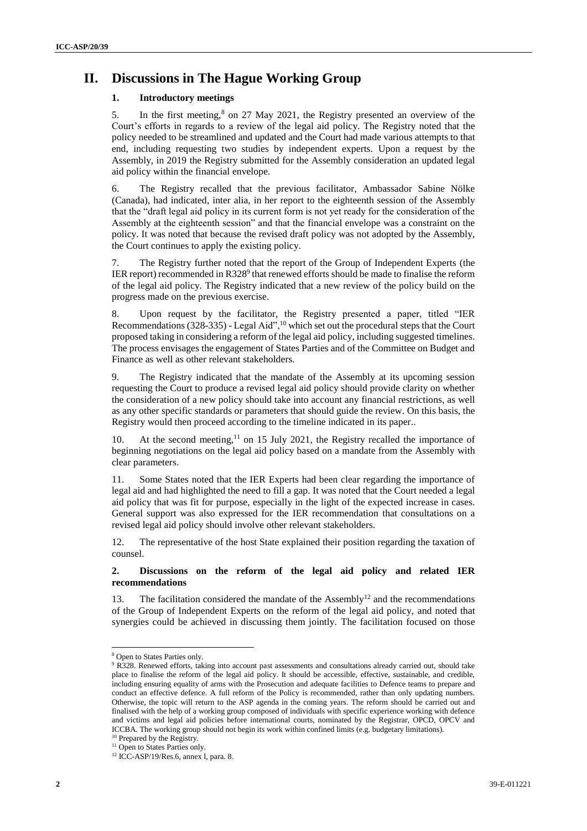# **II. Discussions in The Hague Working Group**

### **1. Introductory meetings**

5. In the first meeting,<sup>8</sup> on 27 May 2021, the Registry presented an overview of the Court's efforts in regards to a review of the legal aid policy. The Registry noted that the policy needed to be streamlined and updated and the Court had made various attempts to that end, including requesting two studies by independent experts. Upon a request by the Assembly, in 2019 the Registry submitted for the Assembly consideration an updated legal aid policy within the financial envelope.

6. The Registry recalled that the previous facilitator, Ambassador Sabine Nölke (Canada), had indicated, inter alia, in her report to the eighteenth session of the Assembly that the "draft legal aid policy in its current form is not yet ready for the consideration of the Assembly at the eighteenth session" and that the financial envelope was a constraint on the policy. It was noted that because the revised draft policy was not adopted by the Assembly, the Court continues to apply the existing policy.

7. The Registry further noted that the report of the Group of Independent Experts (the IER report) recommended in R328 $9$  that renewed efforts should be made to finalise the reform of the legal aid policy. The Registry indicated that a new review of the policy build on the progress made on the previous exercise.

8. Upon request by the facilitator, the Registry presented a paper, titled "IER Recommendations  $(328-335)$  - Legal Aid",<sup>10</sup> which set out the procedural steps that the Court proposed taking in considering a reform of the legal aid policy, including suggested timelines. The process envisages the engagement of States Parties and of the Committee on Budget and Finance as well as other relevant stakeholders.

9. The Registry indicated that the mandate of the Assembly at its upcoming session requesting the Court to produce a revised legal aid policy should provide clarity on whether the consideration of a new policy should take into account any financial restrictions, as well as any other specific standards or parameters that should guide the review. On this basis, the Registry would then proceed according to the timeline indicated in its paper..

10. At the second meeting, $11$  on 15 July 2021, the Registry recalled the importance of beginning negotiations on the legal aid policy based on a mandate from the Assembly with clear parameters.

Some States noted that the IER Experts had been clear regarding the importance of legal aid and had highlighted the need to fill a gap. It was noted that the Court needed a legal aid policy that was fit for purpose, especially in the light of the expected increase in cases. General support was also expressed for the IER recommendation that consultations on a revised legal aid policy should involve other relevant stakeholders.

12. The representative of the host State explained their position regarding the taxation of counsel.

#### **2. Discussions on the reform of the legal aid policy and related IER recommendations**

13. The facilitation considered the mandate of the Assembly<sup>12</sup> and the recommendations of the Group of Independent Experts on the reform of the legal aid policy, and noted that synergies could be achieved in discussing them jointly. The facilitation focused on those

 $\overline{a}$ 

<sup>8</sup> Open to States Parties only.

<sup>&</sup>lt;sup>9</sup> R328. Renewed efforts, taking into account past assessments and consultations already carried out, should take place to finalise the reform of the legal aid policy. It should be accessible, effective, sustainable, and credible, including ensuring equality of arms with the Prosecution and adequate facilities to Defence teams to prepare and conduct an effective defence. A full reform of the Policy is recommended, rather than only updating numbers. Otherwise, the topic will return to the ASP agenda in the coming years. The reform should be carried out and finalised with the help of a working group composed of individuals with specific experience working with defence and victims and legal aid policies before international courts, nominated by the Registrar, OPCD, OPCV and ICCBA. The working group should not begin its work within confined limits (e.g. budgetary limitations). <sup>10</sup> Prepared by the Registry.

<sup>&</sup>lt;sup>11</sup> Open to States Parties only.

 $12$  ICC-ASP/19/Res.6, annex I, para. 8.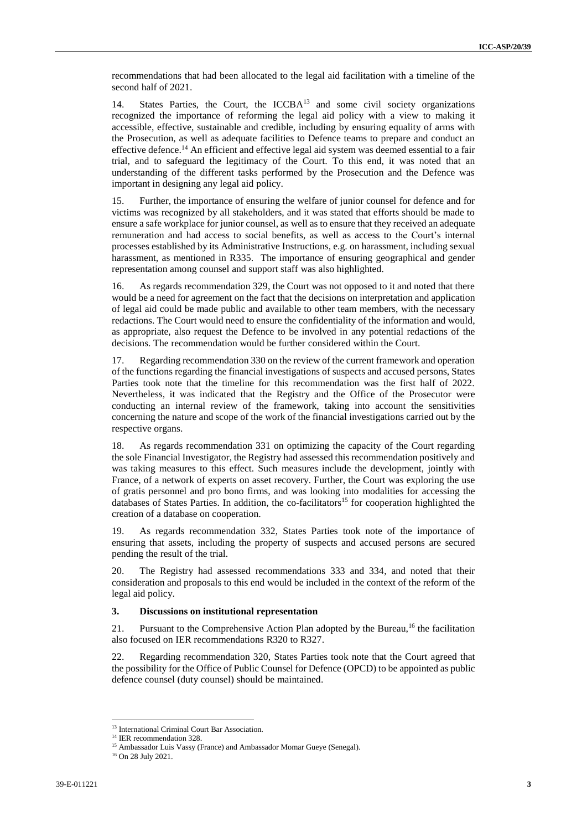recommendations that had been allocated to the legal aid facilitation with a timeline of the second half of 2021.

14. States Parties, the Court, the ICCBA<sup>13</sup> and some civil society organizations recognized the importance of reforming the legal aid policy with a view to making it accessible, effective, sustainable and credible, including by ensuring equality of arms with the Prosecution, as well as adequate facilities to Defence teams to prepare and conduct an effective defence.<sup>14</sup> An efficient and effective legal aid system was deemed essential to a fair trial, and to safeguard the legitimacy of the Court. To this end, it was noted that an understanding of the different tasks performed by the Prosecution and the Defence was important in designing any legal aid policy.

15. Further, the importance of ensuring the welfare of junior counsel for defence and for victims was recognized by all stakeholders, and it was stated that efforts should be made to ensure a safe workplace for junior counsel, as well as to ensure that they received an adequate remuneration and had access to social benefits, as well as access to the Court's internal processes established by its Administrative Instructions, e.g. on harassment, including sexual harassment, as mentioned in R335. The importance of ensuring geographical and gender representation among counsel and support staff was also highlighted.

16. As regards recommendation 329, the Court was not opposed to it and noted that there would be a need for agreement on the fact that the decisions on interpretation and application of legal aid could be made public and available to other team members, with the necessary redactions. The Court would need to ensure the confidentiality of the information and would, as appropriate, also request the Defence to be involved in any potential redactions of the decisions. The recommendation would be further considered within the Court.

17. Regarding recommendation 330 on the review of the current framework and operation of the functions regarding the financial investigations of suspects and accused persons, States Parties took note that the timeline for this recommendation was the first half of 2022. Nevertheless, it was indicated that the Registry and the Office of the Prosecutor were conducting an internal review of the framework, taking into account the sensitivities concerning the nature and scope of the work of the financial investigations carried out by the respective organs.

18. As regards recommendation 331 on optimizing the capacity of the Court regarding the sole Financial Investigator, the Registry had assessed this recommendation positively and was taking measures to this effect. Such measures include the development, jointly with France, of a network of experts on asset recovery. Further, the Court was exploring the use of gratis personnel and pro bono firms, and was looking into modalities for accessing the databases of States Parties. In addition, the co-facilitators<sup>15</sup> for cooperation highlighted the creation of a database on cooperation.

19. As regards recommendation 332, States Parties took note of the importance of ensuring that assets, including the property of suspects and accused persons are secured pending the result of the trial.

20. The Registry had assessed recommendations 333 and 334, and noted that their consideration and proposals to this end would be included in the context of the reform of the legal aid policy.

#### **3. Discussions on institutional representation**

21. Pursuant to the Comprehensive Action Plan adopted by the Bureau,<sup>16</sup> the facilitation also focused on IER recommendations R320 to R327.

22. Regarding recommendation 320, States Parties took note that the Court agreed that the possibility for the Office of Public Counsel for Defence (OPCD) to be appointed as public defence counsel (duty counsel) should be maintained.

 $\overline{a}$ 

<sup>&</sup>lt;sup>13</sup> International Criminal Court Bar Association.

<sup>&</sup>lt;sup>14</sup> IER recommendation 328.

<sup>&</sup>lt;sup>15</sup> Ambassador Luis Vassy (France) and Ambassador Momar Gueye (Senegal).

<sup>16</sup> On 28 July 2021.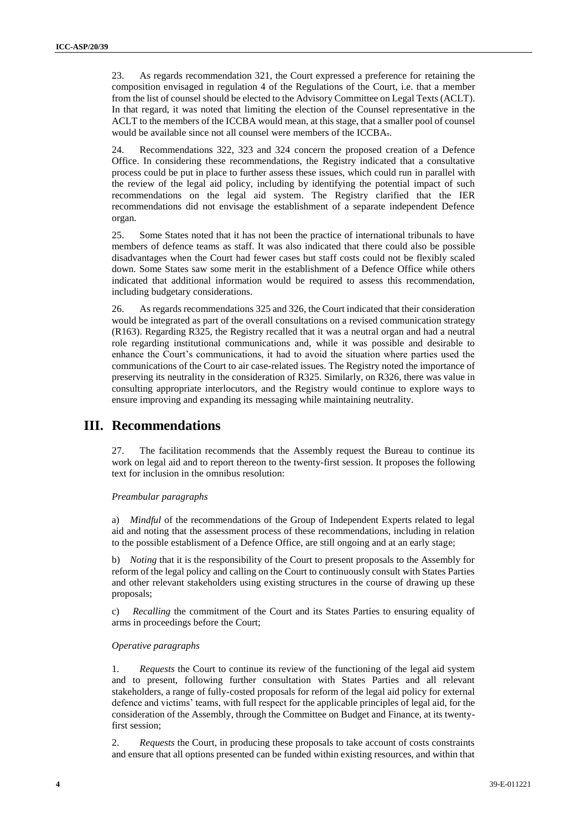23. As regards recommendation 321, the Court expressed a preference for retaining the composition envisaged in regulation 4 of the Regulations of the Court, i.e. that a member from the list of counsel should be elected to the Advisory Committee on Legal Texts (ACLT). In that regard, it was noted that limiting the election of the Counsel representative in the ACLT to the members of the ICCBA would mean, at this stage, that a smaller pool of counsel would be available since not all counsel were members of the ICCBA..

24. Recommendations 322, 323 and 324 concern the proposed creation of a Defence Office. In considering these recommendations, the Registry indicated that a consultative process could be put in place to further assess these issues, which could run in parallel with the review of the legal aid policy, including by identifying the potential impact of such recommendations on the legal aid system. The Registry clarified that the IER recommendations did not envisage the establishment of a separate independent Defence organ.

25. Some States noted that it has not been the practice of international tribunals to have members of defence teams as staff. It was also indicated that there could also be possible disadvantages when the Court had fewer cases but staff costs could not be flexibly scaled down. Some States saw some merit in the establishment of a Defence Office while others indicated that additional information would be required to assess this recommendation, including budgetary considerations.

26. As regards recommendations 325 and 326, the Court indicated that their consideration would be integrated as part of the overall consultations on a revised communication strategy (R163). Regarding R325, the Registry recalled that it was a neutral organ and had a neutral role regarding institutional communications and, while it was possible and desirable to enhance the Court's communications, it had to avoid the situation where parties used the communications of the Court to air case-related issues. The Registry noted the importance of preserving its neutrality in the consideration of R325. Similarly, on R326, there was value in consulting appropriate interlocutors, and the Registry would continue to explore ways to ensure improving and expanding its messaging while maintaining neutrality.

## **III. Recommendations**

27. The facilitation recommends that the Assembly request the Bureau to continue its work on legal aid and to report thereon to the twenty-first session. It proposes the following text for inclusion in the omnibus resolution:

#### *Preambular paragraphs*

a) *Mindful* of the recommendations of the Group of Independent Experts related to legal aid and noting that the assessment process of these recommendations, including in relation to the possible establisment of a Defence Office, are still ongoing and at an early stage;

b) *Noting* that it is the responsibility of the Court to present proposals to the Assembly for reform of the legal policy and calling on the Court to continuously consult with States Parties and other relevant stakeholders using existing structures in the course of drawing up these proposals;

c) *Recalling* the commitment of the Court and its States Parties to ensuring equality of arms in proceedings before the Court;

#### *Operative paragraphs*

1. *Requests* the Court to continue its review of the functioning of the legal aid system and to present, following further consultation with States Parties and all relevant stakeholders, a range of fully-costed proposals for reform of the legal aid policy for external defence and victims' teams, with full respect for the applicable principles of legal aid, for the consideration of the Assembly, through the Committee on Budget and Finance, at its twentyfirst session;

2. *Requests* the Court, in producing these proposals to take account of costs constraints and ensure that all options presented can be funded within existing resources, and within that